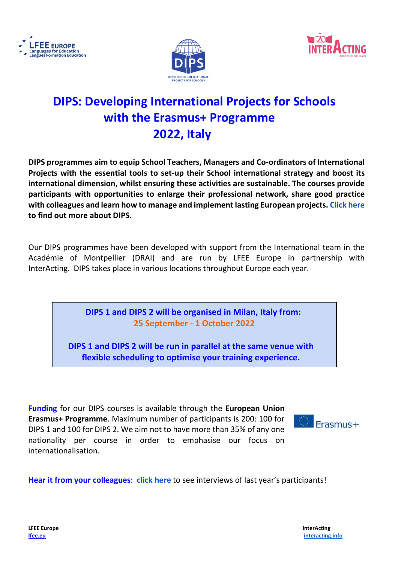





# **DIPS: Developing International Projects for Schools with the Erasmus+ Programme 2022, Italy**

**DIPS programmes aim to equip School Teachers, Managers and Co-ordinators of International Projects with the essential tools to set-up their School international strategy and boost its international dimension, whilst ensuring these activities are sustainable. The courses provide participants with opportunities to enlarge their professional network, share good practice with colleagues and learn how to manage and implement lasting European projects[. Click here](https://youtu.be/30z1WnSZQ9w) to find out more about DIPS.**

Our DIPS programmes have been developed with support from the International team in the Académie of Montpellier (DRAI) and are run by LFEE Europe in partnership with InterActing. DIPS takes place in various locations throughout Europe each year.

> **DIPS 1 and DIPS 2 will be organised in Milan, Italy from: 25 September - 1 October 2022**

**DIPS 1 and DIPS 2 will be run in parallel at the same venue with flexible scheduling to optimise your training experience.**

**Funding** for our DIPS courses is available through the **European Union Erasmus+ Programme**. Maximum number of participants is 200: 100 for DIPS 1 and 100 for DIPS 2. We aim not to have more than 35% of any one nationality per course in order to emphasise our focus on internationalisation.



**Hear it from your colleagues**: **[click here](https://youtu.be/u4gcy21GS_A)** to see interviews of last year's participants!